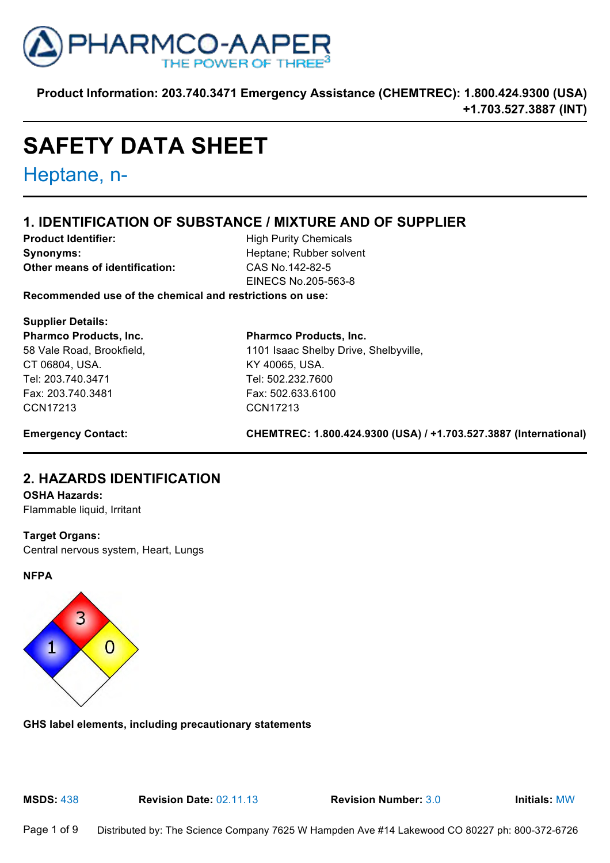

# **SAFETY DATA SHEET**

Heptane, n-

# **1. IDENTIFICATION OF SUBSTANCE / MIXTURE AND OF SUPPLIER**

**Product Identifier:** High Purity Chemicals **Synonyms:** Heptane; Rubber solvent **Other means of identification:** CAS No.142-82-5

EINECS No.205-563-8

**Recommended use of the chemical and restrictions on use:**

**Supplier Details: Pharmco Products, Inc.**  58 Vale Road, Brookfield, CT 06804, USA. Tel: 203.740.3471 Fax: 203.740.3481 CCN17213

**Pharmco Products, Inc.** 1101 Isaac Shelby Drive, Shelbyville, KY 40065, USA. Tel: 502.232.7600 Fax: 502.633.6100 CCN17213

**Emergency Contact: CHEMTREC: 1.800.424.9300 (USA) / +1.703.527.3887 (International)**

# **2. HAZARDS IDENTIFICATION**

#### **OSHA Hazards:**

Flammable liquid, Irritant

#### **Target Organs:**

Central nervous system, Heart, Lungs

#### **NFPA**



**GHS label elements, including precautionary statements**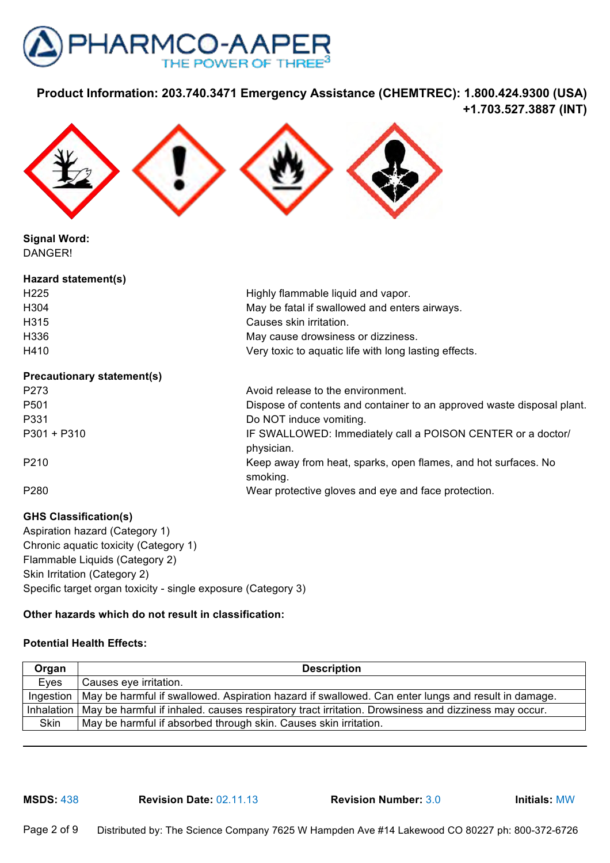



**Signal Word:** DANGER!

| Hazard statement(s)               |                                                       |  |
|-----------------------------------|-------------------------------------------------------|--|
| H <sub>225</sub>                  | Highly flammable liquid and vapor.                    |  |
| H304                              | May be fatal if swallowed and enters airways.         |  |
| H315                              | Causes skin irritation.                               |  |
| H336                              | May cause drowsiness or dizziness.                    |  |
| H410                              | Very toxic to aquatic life with long lasting effects. |  |
| <b>Precautionary statement(s)</b> |                                                       |  |

## **Precautionary statement(s)** P273 Avoid release to the environment. P501 Dispose of contents and container to an approved waste disposal plant. P331 Do NOT induce vomiting. P301 + P310 **IF SWALLOWED:** Immediately call a POISON CENTER or a doctor/ physician. P210 Keep away from heat, sparks, open flames, and hot surfaces. No smoking. P280 Wear protective gloves and eye and face protection.

**GHS Classification(s)** Aspiration hazard (Category 1) Chronic aquatic toxicity (Category 1) Flammable Liquids (Category 2) Skin Irritation (Category 2) Specific target organ toxicity - single exposure (Category 3)

#### **Other hazards which do not result in classification:**

#### **Potential Health Effects:**

| Organ | <b>Description</b>                                                                                               |
|-------|------------------------------------------------------------------------------------------------------------------|
| Eves  | Causes eye irritation.                                                                                           |
|       | Ingestion   May be harmful if swallowed. Aspiration hazard if swallowed. Can enter lungs and result in damage.   |
|       | Inhalation   May be harmful if inhaled. causes respiratory tract irritation. Drowsiness and dizziness may occur. |
| Skin  | May be harmful if absorbed through skin. Causes skin irritation.                                                 |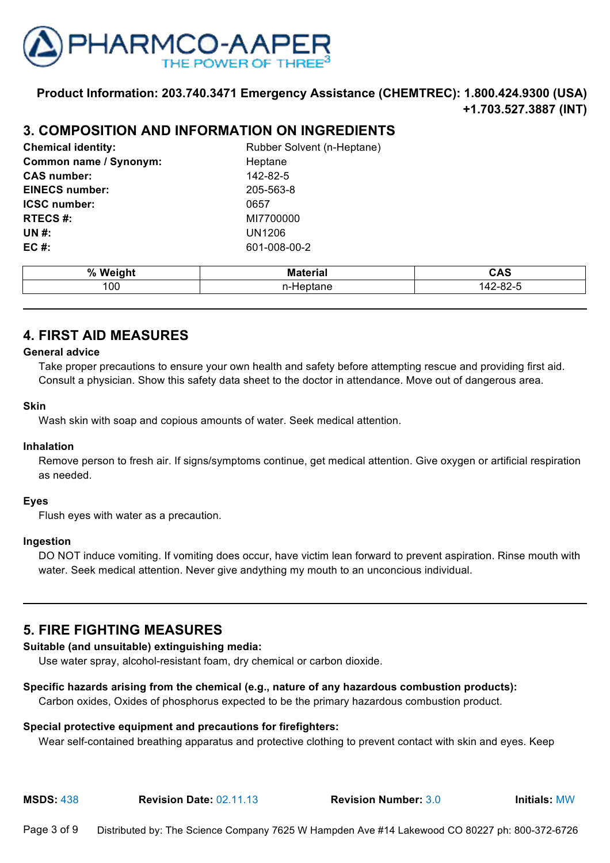

## **3. COMPOSITION AND INFORMATION ON INGREDIENTS**

| <b>Chemical identity:</b> | <b>Rubber Solve</b> |
|---------------------------|---------------------|
| Common name / Synonym:    | Heptane             |
| <b>CAS number:</b>        | 142-82-5            |
| <b>EINECS number:</b>     | 205-563-8           |
| <b>ICSC number:</b>       | 0657                |
| <b>RTECS#:</b>            | MI7700000           |
| UN #:                     | <b>UN1206</b>       |
| EC #:                     | 601-008-00-2        |

Rubber Solvent (n-Heptane) **Heptane CAS number:** 142-82-5 **EINECS number:** 205-563-8 **RTECS #:** MI7700000 **UN #:** UN1206

| %   | . .<br>----- | JAS                 |
|-----|--------------|---------------------|
| 100 | -<br>        | $\sim$ $\sim$<br>◡▵ |

## **4. FIRST AID MEASURES**

#### **General advice**

Take proper precautions to ensure your own health and safety before attempting rescue and providing first aid. Consult a physician. Show this safety data sheet to the doctor in attendance. Move out of dangerous area.

#### **Skin**

Wash skin with soap and copious amounts of water. Seek medical attention.

#### **Inhalation**

Remove person to fresh air. If signs/symptoms continue, get medical attention. Give oxygen or artificial respiration as needed.

#### **Eyes**

Flush eyes with water as a precaution.

#### **Ingestion**

DO NOT induce vomiting. If vomiting does occur, have victim lean forward to prevent aspiration. Rinse mouth with water. Seek medical attention. Never give andything my mouth to an unconcious individual.

## **5. FIRE FIGHTING MEASURES**

#### **Suitable (and unsuitable) extinguishing media:**

Use water spray, alcohol-resistant foam, dry chemical or carbon dioxide.

#### **Specific hazards arising from the chemical (e.g., nature of any hazardous combustion products):**

Carbon oxides, Oxides of phosphorus expected to be the primary hazardous combustion product.

#### **Special protective equipment and precautions for firefighters:**

Wear self-contained breathing apparatus and protective clothing to prevent contact with skin and eyes. Keep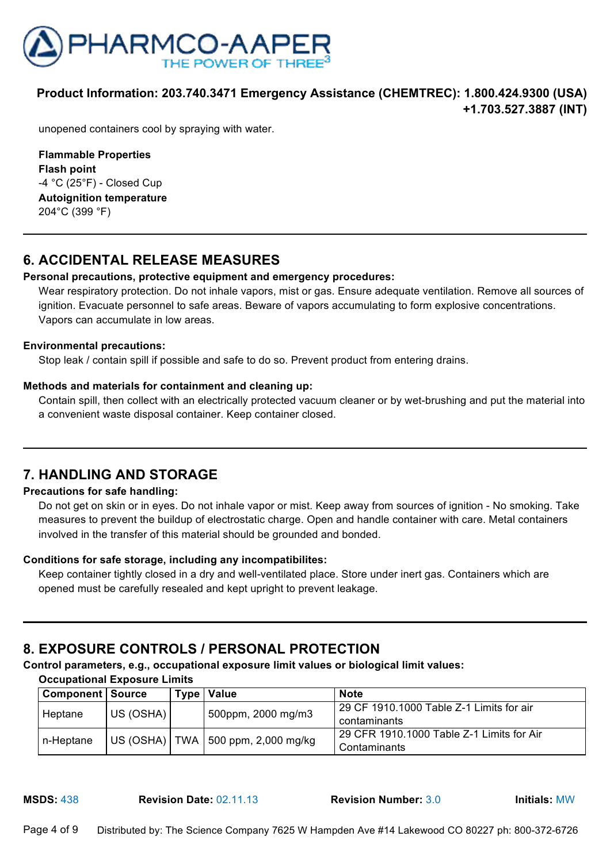

unopened containers cool by spraying with water.

**Flammable Properties Flash point**  $-4$  °C (25°F) - Closed Cup **Autoignition temperature**  204°C (399 °F)

## **6. ACCIDENTAL RELEASE MEASURES**

#### **Personal precautions, protective equipment and emergency procedures:**

Wear respiratory protection. Do not inhale vapors, mist or gas. Ensure adequate ventilation. Remove all sources of ignition. Evacuate personnel to safe areas. Beware of vapors accumulating to form explosive concentrations. Vapors can accumulate in low areas.

#### **Environmental precautions:**

Stop leak / contain spill if possible and safe to do so. Prevent product from entering drains.

#### **Methods and materials for containment and cleaning up:**

Contain spill, then collect with an electrically protected vacuum cleaner or by wet-brushing and put the material into a convenient waste disposal container. Keep container closed.

## **7. HANDLING AND STORAGE**

#### **Precautions for safe handling:**

Do not get on skin or in eyes. Do not inhale vapor or mist. Keep away from sources of ignition - No smoking. Take measures to prevent the buildup of electrostatic charge. Open and handle container with care. Metal containers involved in the transfer of this material should be grounded and bonded.

#### **Conditions for safe storage, including any incompatibilites:**

Keep container tightly closed in a dry and well-ventilated place. Store under inert gas. Containers which are opened must be carefully resealed and kept upright to prevent leakage.

## **8. EXPOSURE CONTROLS / PERSONAL PROTECTION**

#### **Control parameters, e.g., occupational exposure limit values or biological limit values:**

**Occupational Exposure Limits**

| <b>Component   Source</b> |           |  | Type   Value                           | <b>Note</b>                                |
|---------------------------|-----------|--|----------------------------------------|--------------------------------------------|
| Heptane                   | US (OSHA) |  | 500ppm, 2000 mg/m3                     | l 29 CF 1910.1000 Table Z-1 Limits for air |
|                           |           |  |                                        | contaminants                               |
| n-Heptane                 |           |  | US (OSHA)   TWA   500 ppm, 2,000 mg/kg | 29 CFR 1910.1000 Table Z-1 Limits for Air  |
|                           |           |  |                                        | Contaminants                               |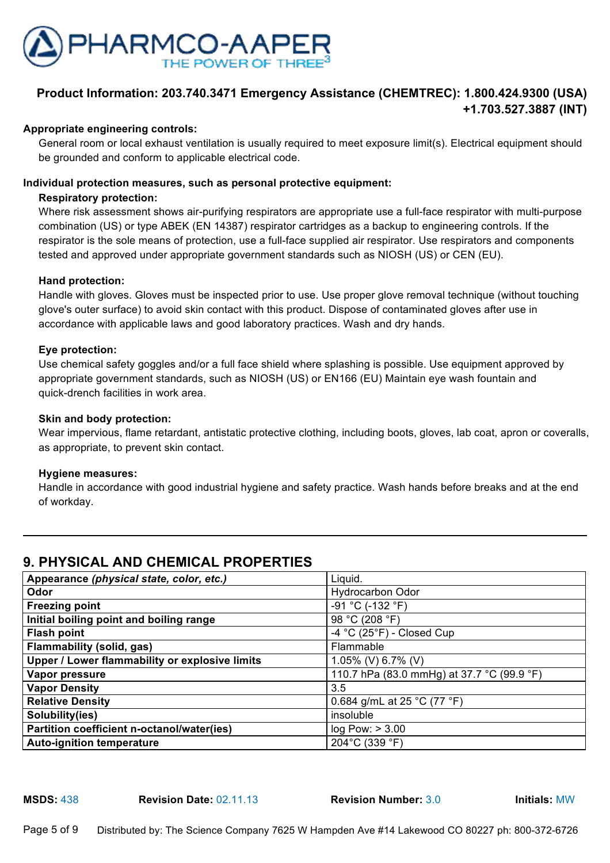

#### **Appropriate engineering controls:**

General room or local exhaust ventilation is usually required to meet exposure limit(s). Electrical equipment should be grounded and conform to applicable electrical code.

#### **Individual protection measures, such as personal protective equipment:**

#### **Respiratory protection:**

Where risk assessment shows air-purifying respirators are appropriate use a full-face respirator with multi-purpose combination (US) or type ABEK (EN 14387) respirator cartridges as a backup to engineering controls. If the respirator is the sole means of protection, use a full-face supplied air respirator. Use respirators and components tested and approved under appropriate government standards such as NIOSH (US) or CEN (EU).

#### **Hand protection:**

Handle with gloves. Gloves must be inspected prior to use. Use proper glove removal technique (without touching glove's outer surface) to avoid skin contact with this product. Dispose of contaminated gloves after use in accordance with applicable laws and good laboratory practices. Wash and dry hands.

#### **Eye protection:**

Use chemical safety goggles and/or a full face shield where splashing is possible. Use equipment approved by appropriate government standards, such as NIOSH (US) or EN166 (EU) Maintain eye wash fountain and quick-drench facilities in work area.

#### **Skin and body protection:**

Wear impervious, flame retardant, antistatic protective clothing, including boots, gloves, lab coat, apron or coveralls, as appropriate, to prevent skin contact.

#### **Hygiene measures:**

Handle in accordance with good industrial hygiene and safety practice. Wash hands before breaks and at the end of workday.

# **9. PHYSICAL AND CHEMICAL PROPERTIES**

| Appearance (physical state, color, etc.)       | Liquid.                                    |
|------------------------------------------------|--------------------------------------------|
| Odor                                           | <b>Hydrocarbon Odor</b>                    |
| <b>Freezing point</b>                          | -91 °C (-132 °F)                           |
| Initial boiling point and boiling range        | 98 °C (208 °F)                             |
| <b>Flash point</b>                             | -4 °C (25°F) - Closed Cup                  |
| <b>Flammability (solid, gas)</b>               | Flammable                                  |
| Upper / Lower flammability or explosive limits | 1.05% (V) 6.7% (V)                         |
| Vapor pressure                                 | 110.7 hPa (83.0 mmHg) at 37.7 °C (99.9 °F) |
| <b>Vapor Density</b>                           | 3.5                                        |
| <b>Relative Density</b>                        | 0.684 g/mL at 25 °C (77 °F)                |
| Solubility(ies)                                | insoluble                                  |
| Partition coefficient n-octanol/water(ies)     | log Pow: > 3.00                            |
| <b>Auto-ignition temperature</b>               | 204°C (339 °F)                             |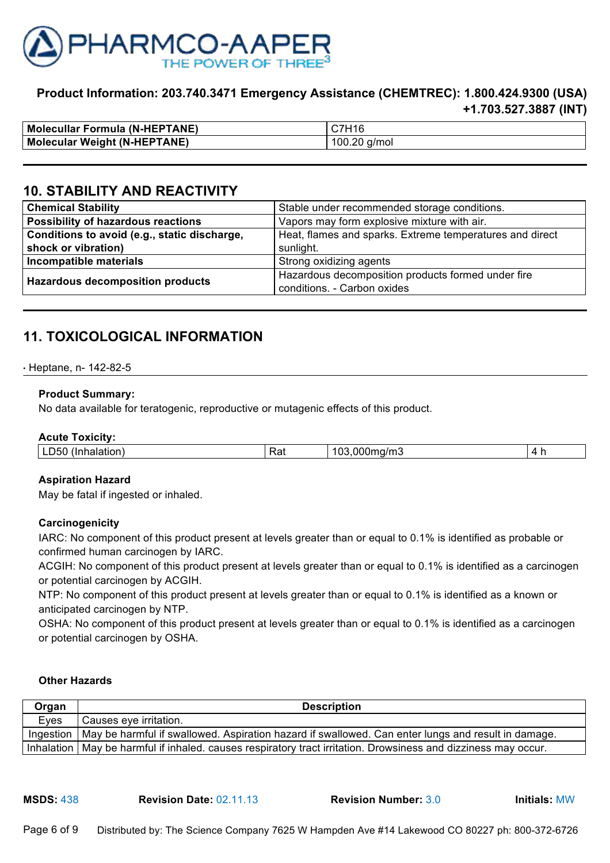

| <b>Molecullar Formula (N-HEPTANE)</b> | C7H16           |
|---------------------------------------|-----------------|
| <b>Molecular Weight (N-HEPTANE)</b>   | 100.20<br>a/mol |

## **10. STABILITY AND REACTIVITY**

| <b>Chemical Stability</b>                    | Stable under recommended storage conditions.             |  |
|----------------------------------------------|----------------------------------------------------------|--|
| Possibility of hazardous reactions           | Vapors may form explosive mixture with air.              |  |
| Conditions to avoid (e.g., static discharge, | Heat, flames and sparks. Extreme temperatures and direct |  |
| shock or vibration)                          | sunlight.                                                |  |
| Incompatible materials                       | Strong oxidizing agents                                  |  |
| <b>Hazardous decomposition products</b>      | Hazardous decomposition products formed under fire       |  |
|                                              | conditions. - Carbon oxides                              |  |

## **11. TOXICOLOGICAL INFORMATION**

#### $\cdot$  Heptane, n- 142-82-5

#### **Product Summary:**

No data available for teratogenic, reproductive or mutagenic effects of this product.

| <b>Acute Toxicity:</b> |     |              |           |
|------------------------|-----|--------------|-----------|
| LD50 (Inhalation)      | Rat | 103,000mg/m3 | 4<br>- 11 |

#### **Aspiration Hazard**

May be fatal if ingested or inhaled.

#### **Carcinogenicity**

IARC: No component of this product present at levels greater than or equal to 0.1% is identified as probable or confirmed human carcinogen by IARC.

ACGIH: No component of this product present at levels greater than or equal to 0.1% is identified as a carcinogen or potential carcinogen by ACGIH.

NTP: No component of this product present at levels greater than or equal to 0.1% is identified as a known or anticipated carcinogen by NTP.

OSHA: No component of this product present at levels greater than or equal to 0.1% is identified as a carcinogen or potential carcinogen by OSHA.

#### **Other Hazards**

| Organ | <b>Description</b>                                                                                               |
|-------|------------------------------------------------------------------------------------------------------------------|
| Eyes  | Causes eye irritation.                                                                                           |
|       | Ingestion   May be harmful if swallowed. Aspiration hazard if swallowed. Can enter lungs and result in damage.   |
|       | Inhalation   May be harmful if inhaled. causes respiratory tract irritation. Drowsiness and dizziness may occur. |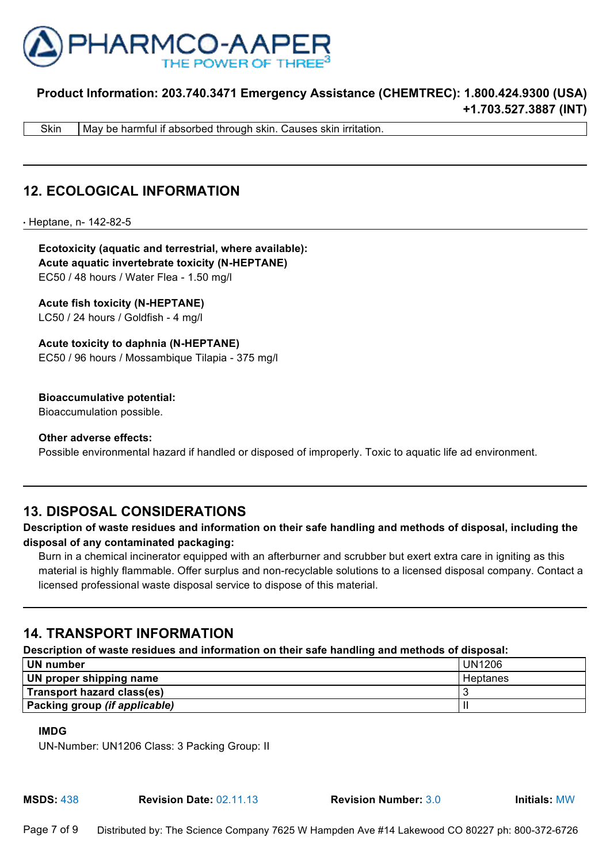

Skin | May be harmful if absorbed through skin. Causes skin irritation.

## **12. ECOLOGICAL INFORMATION**

● Heptane, n- 142-82-5

**Ecotoxicity (aquatic and terrestrial, where available): Acute aquatic invertebrate toxicity (N-HEPTANE)**  EC50 / 48 hours / Water Flea - 1.50 mg/l

**Acute fish toxicity (N-HEPTANE)** LC50 / 24 hours / Goldfish - 4 mg/l

**Acute toxicity to daphnia (N-HEPTANE)** EC50 / 96 hours / Mossambique Tilapia - 375 mg/l

**Bioaccumulative potential:**

Bioaccumulation possible.

**Other adverse effects:** Possible environmental hazard if handled or disposed of improperly. Toxic to aquatic life ad environment.

## **13. DISPOSAL CONSIDERATIONS**

#### **Description of waste residues and information on their safe handling and methods of disposal, including the disposal of any contaminated packaging:**

Burn in a chemical incinerator equipped with an afterburner and scrubber but exert extra care in igniting as this material is highly flammable. Offer surplus and non-recyclable solutions to a licensed disposal company. Contact a licensed professional waste disposal service to dispose of this material.

## **14. TRANSPORT INFORMATION**

#### **Description of waste residues and information on their safe handling and methods of disposal:**

| UN number                     | <b>UN1206</b> |
|-------------------------------|---------------|
| UN proper shipping name       | Heptanes      |
| Transport hazard class(es)    |               |
| Packing group (if applicable) |               |

#### **IMDG**

UN-Number: UN1206 Class: 3 Packing Group: II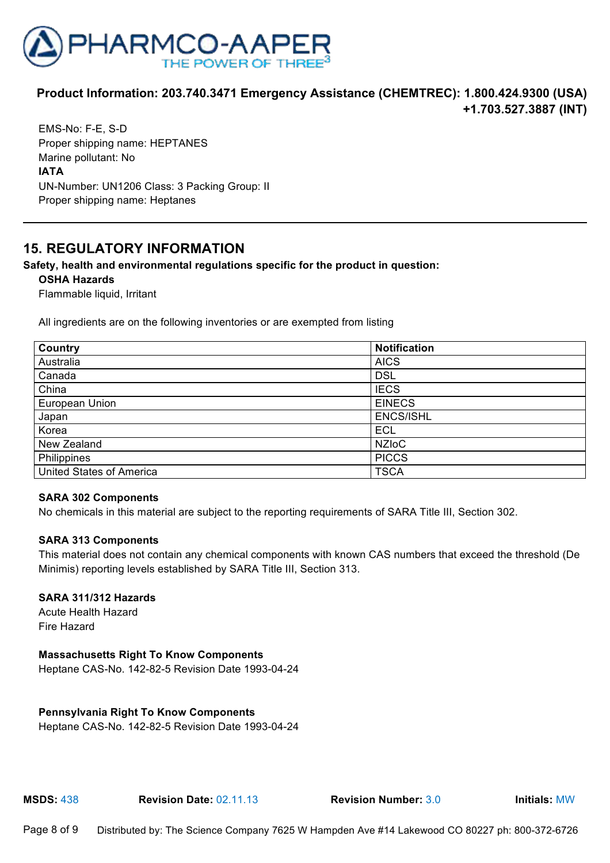

EMS-No: F-E, S-D Proper shipping name: HEPTANES Marine pollutant: No **IATA** UN-Number: UN1206 Class: 3 Packing Group: II Proper shipping name: Heptanes

## **15. REGULATORY INFORMATION**

#### **Safety, health and environmental regulations specific for the product in question:**

#### **OSHA Hazards**

Flammable liquid, Irritant

All ingredients are on the following inventories or are exempted from listing

| Country                         | <b>Notification</b> |
|---------------------------------|---------------------|
| Australia                       | <b>AICS</b>         |
| Canada                          | <b>DSL</b>          |
| China                           | <b>IECS</b>         |
| European Union                  | <b>EINECS</b>       |
| Japan                           | <b>ENCS/ISHL</b>    |
| Korea                           | <b>ECL</b>          |
| New Zealand                     | <b>NZIOC</b>        |
| Philippines                     | <b>PICCS</b>        |
| <b>United States of America</b> | <b>TSCA</b>         |

#### **SARA 302 Components**

No chemicals in this material are subject to the reporting requirements of SARA Title III, Section 302.

#### **SARA 313 Components**

This material does not contain any chemical components with known CAS numbers that exceed the threshold (De Minimis) reporting levels established by SARA Title III, Section 313.

#### **SARA 311/312 Hazards**

Acute Health Hazard Fire Hazard

#### **Massachusetts Right To Know Components**

Heptane CAS-No. 142-82-5 Revision Date 1993-04-24

#### **Pennsylvania Right To Know Components**

Heptane CAS-No. 142-82-5 Revision Date 1993-04-24